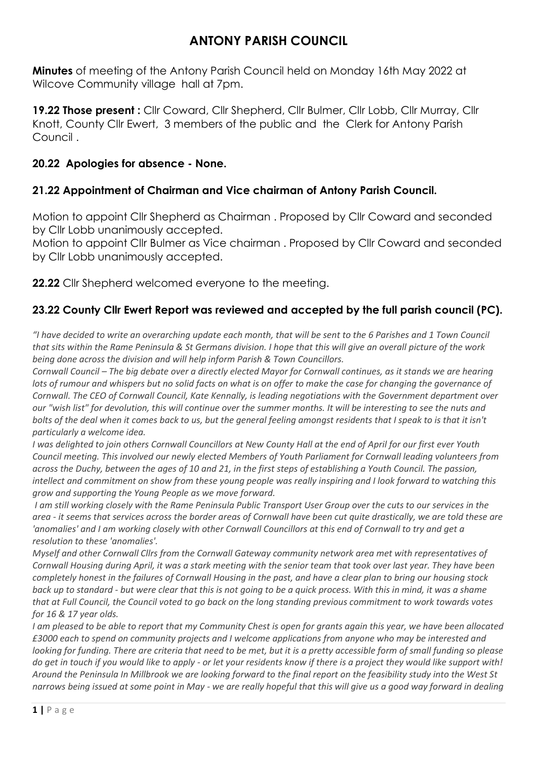# **ANTONY PARISH COUNCIL**

**Minutes** of meeting of the Antony Parish Council held on Monday 16th May 2022 at Wilcove Community village hall at 7pm.

**19.22 Those present :** Cllr Coward, Cllr Shepherd, Cllr Bulmer, Cllr Lobb, Cllr Murray, Cllr Knott, County Cllr Ewert, 3 members of the public and the Clerk for Antony Parish Council .

### **20.22 Apologies for absence - None.**

# **21.22 Appointment of Chairman and Vice chairman of Antony Parish Council.**

Motion to appoint Cllr Shepherd as Chairman . Proposed by Cllr Coward and seconded by Cllr Lobb unanimously accepted.

Motion to appoint Cllr Bulmer as Vice chairman . Proposed by Cllr Coward and seconded by Cllr Lobb unanimously accepted.

**22.22** Cllr Shepherd welcomed everyone to the meeting.

# **23.22 County Cllr Ewert Report was reviewed and accepted by the full parish council (PC).**

*"I have decided to write an overarching update each month, that will be sent to the 6 Parishes and 1 Town Council that sits within the Rame Peninsula & St Germans division. I hope that this will give an overall picture of the work being done across the division and will help inform Parish & Town Councillors.* 

*Cornwall Council – The big debate over a directly elected Mayor for Cornwall continues, as it stands we are hearing*  lots of rumour and whispers but no solid facts on what is on offer to make the case for changing the governance of *Cornwall. The CEO of Cornwall Council, Kate Kennally, is leading negotiations with the Government department over our "wish list" for devolution, this will continue over the summer months. It will be interesting to see the nuts and*  bolts of the deal when it comes back to us, but the general feeling amongst residents that I speak to is that it isn't *particularly a welcome idea.* 

*I was delighted to join others Cornwall Councillors at New County Hall at the end of April for our first ever Youth Council meeting. This involved our newly elected Members of Youth Parliament for Cornwall leading volunteers from across the Duchy, between the ages of 10 and 21, in the first steps of establishing a Youth Council. The passion, intellect and commitment on show from these young people was really inspiring and I look forward to watching this grow and supporting the Young People as we move forward.*

*I am still working closely with the Rame Peninsula Public Transport User Group over the cuts to our services in the area - it seems that services across the border areas of Cornwall have been cut quite drastically, we are told these are 'anomalies' and I am working closely with other Cornwall Councillors at this end of Cornwall to try and get a resolution to these 'anomalies'.* 

*Myself and other Cornwall Cllrs from the Cornwall Gateway community network area met with representatives of Cornwall Housing during April, it was a stark meeting with the senior team that took over last year. They have been completely honest in the failures of Cornwall Housing in the past, and have a clear plan to bring our housing stock back up to standard - but were clear that this is not going to be a quick process. With this in mind, it was a shame that at Full Council, the Council voted to go back on the long standing previous commitment to work towards votes for 16 & 17 year olds.* 

*I am pleased to be able to report that my Community Chest is open for grants again this year, we have been allocated £3000 each to spend on community projects and I welcome applications from anyone who may be interested and looking for funding. There are criteria that need to be met, but it is a pretty accessible form of small funding so please do get in touch if you would like to apply - or let your residents know if there is a project they would like support with! Around the Peninsula In Millbrook we are looking forward to the final report on the feasibility study into the West St narrows being issued at some point in May - we are really hopeful that this will give us a good way forward in dealing*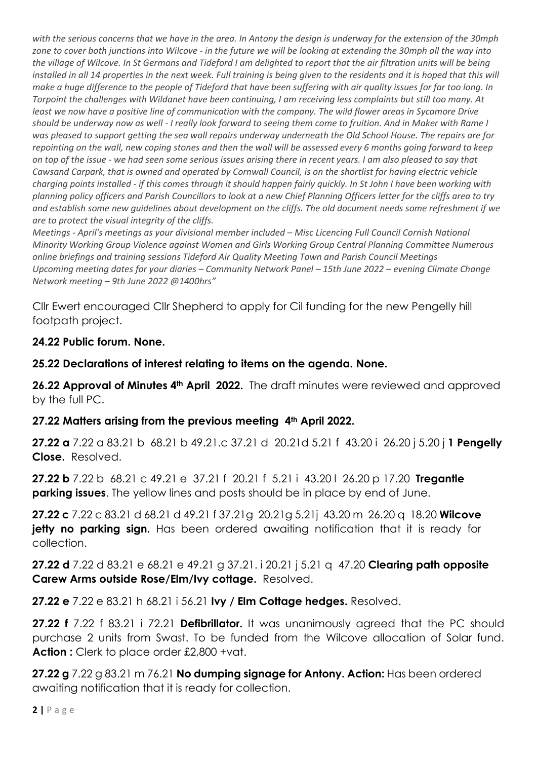*with the serious concerns that we have in the area. In Antony the design is underway for the extension of the 30mph zone to cover both junctions into Wilcove - in the future we will be looking at extending the 30mph all the way into the village of Wilcove. In St Germans and Tideford I am delighted to report that the air filtration units will be being installed in all 14 properties in the next week. Full training is being given to the residents and it is hoped that this will make a huge difference to the people of Tideford that have been suffering with air quality issues for far too long. In Torpoint the challenges with Wildanet have been continuing, I am receiving less complaints but still too many. At least we now have a positive line of communication with the company. The wild flower areas in Sycamore Drive should be underway now as well - I really look forward to seeing them come to fruition. And in Maker with Rame I was pleased to support getting the sea wall repairs underway underneath the Old School House. The repairs are for repointing on the wall, new coping stones and then the wall will be assessed every 6 months going forward to keep on top of the issue - we had seen some serious issues arising there in recent years. I am also pleased to say that Cawsand Carpark, that is owned and operated by Cornwall Council, is on the shortlist for having electric vehicle charging points installed - if this comes through it should happen fairly quickly. In St John I have been working with planning policy officers and Parish Councillors to look at a new Chief Planning Officers letter for the cliffs area to try and establish some new guidelines about development on the cliffs. The old document needs some refreshment if we are to protect the visual integrity of the cliffs.* 

*Meetings - April's meetings as your divisional member included – Misc Licencing Full Council Cornish National Minority Working Group Violence against Women and Girls Working Group Central Planning Committee Numerous online briefings and training sessions Tideford Air Quality Meeting Town and Parish Council Meetings Upcoming meeting dates for your diaries – Community Network Panel – 15th June 2022 – evening Climate Change Network meeting – 9th June 2022 @1400hrs"*

Cllr Ewert encouraged Cllr Shepherd to apply for Cil funding for the new Pengelly hill footpath project.

# **24.22 Public forum. None.**

**25.22 Declarations of interest relating to items on the agenda. None.**

**26.22 Approval of Minutes 4th April 2022.** The draft minutes were reviewed and approved by the full PC.

# **27.22 Matters arising from the previous meeting 4th April 2022.**

**27.22 a** 7.22 a 83.21 b 68.21 b 49.21.c 37.21 d20.21d 5.21 f43.20 i26.20 j 5.20 j **1 Pengelly Close.** Resolved.

**27.22 b** 7.22 b 68.21 c 49.21 e37.21 f20.21 f 5.21 i43.20 l26.20 p 17.20 **Tregantle parking issues**. The yellow lines and posts should be in place by end of June.

**27.22 c** 7.22 c 83.21 d 68.21 d 49.21 f 37.21g20.21g 5.21j43.20 m26.20 q 18.20 **Wilcove jetty no parking sign.** Has been ordered awaiting notification that it is ready for collection.

**27.22 d** 7.22 d 83.21 e 68.21 e 49.21 g 37.21. i 20.21 j 5.21 q47.20 **Clearing path opposite Carew Arms outside Rose/Elm/Ivy cottage.** Resolved.

**27.22 e** 7.22 e 83.21 h 68.21 i 56.21 **Ivy / Elm Cottage hedges.** Resolved.

**27.22 f** 7.22 f 83.21 i 72.21 **Defibrillator.** It was unanimously agreed that the PC should purchase 2 units from Swast. To be funded from the Wilcove allocation of Solar fund. **Action :** Clerk to place order £2,800 +vat.

**27.22 g** 7.22 g 83.21 m 76.21 **No dumping signage for Antony. Action:** Has been ordered awaiting notification that it is ready for collection.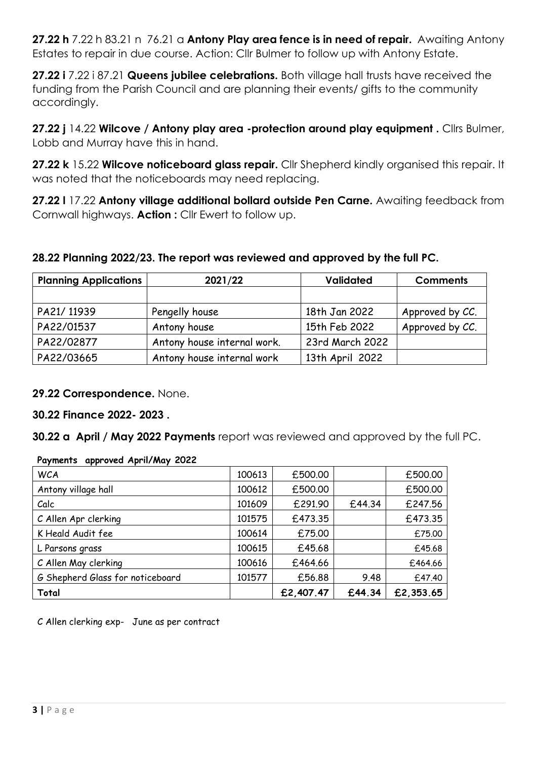**27.22 h** 7.22 h 83.21 n 76.21 a **Antony Play area fence is in need of repair.** Awaiting Antony Estates to repair in due course. Action: Cllr Bulmer to follow up with Antony Estate.

**27.22 i** 7.22 i 87.21 **Queens jubilee celebrations.** Both village hall trusts have received the funding from the Parish Council and are planning their events/ gifts to the community accordingly.

**27.22 j** 14.22 **Wilcove / Antony play area -protection around play equipment .** Cllrs Bulmer, Lobb and Murray have this in hand.

**27.22 k** 15.22 **Wilcove noticeboard glass repair.** Cllr Shepherd kindly organised this repair. It was noted that the noticeboards may need replacing.

**27.22 l** 17.22 **Antony village additional bollard outside Pen Carne.** Awaiting feedback from Cornwall highways. **Action :** Cllr Ewert to follow up.

### **28.22 Planning 2022/23. The report was reviewed and approved by the full PC.**

| <b>Planning Applications</b> | 2021/22                     | <b>Validated</b> | <b>Comments</b> |  |
|------------------------------|-----------------------------|------------------|-----------------|--|
|                              |                             |                  |                 |  |
| PA21/11939                   | Pengelly house              | 18th Jan 2022    | Approved by CC. |  |
| PA22/01537                   | Antony house                | 15th Feb 2022    | Approved by CC. |  |
| PA22/02877                   | Antony house internal work. | 23rd March 2022  |                 |  |
| PA22/03665                   | Antony house internal work  | 13th April 2022  |                 |  |

#### **29.22 Correspondence.** None.

**30.22 Finance 2022- 2023 .**

**30.22 a April / May 2022 Payments** report was reviewed and approved by the full PC.

| $1.47$ and $1.10$ applies to $1.1$ and $1.11$ and $1.11$ and $1.11$ and $1.11$ and $1.11$ and $1.11$ and $1.11$ and $1.11$ and $1.11$ and $1.11$ and $1.11$ and $1.11$ and $1.11$ and $1.11$ and $1.11$ and $1.11$ and $1.11$ |        |           |        |           |
|-------------------------------------------------------------------------------------------------------------------------------------------------------------------------------------------------------------------------------|--------|-----------|--------|-----------|
| <b>WCA</b>                                                                                                                                                                                                                    | 100613 | £500.00   |        | £500.00   |
| Antony village hall                                                                                                                                                                                                           | 100612 | £500.00   |        | £500.00   |
| Calc                                                                                                                                                                                                                          | 101609 | £291.90   | £44.34 | £247.56   |
| C Allen Apr clerking                                                                                                                                                                                                          | 101575 | £473.35   |        | £473.35   |
| K Heald Audit fee                                                                                                                                                                                                             | 100614 | £75.00    |        | £75.00    |
| L Parsons grass                                                                                                                                                                                                               | 100615 | £45.68    |        | £45.68    |
| C Allen May clerking                                                                                                                                                                                                          | 100616 | £464.66   |        | £464.66   |
| G Shepherd Glass for noticeboard                                                                                                                                                                                              | 101577 | £56.88    | 9.48   | £47.40    |
| Total                                                                                                                                                                                                                         |        | £2,407.47 | £44.34 | £2,353.65 |

**Payments approved April/May 2022**

C Allen clerking exp- June as per contract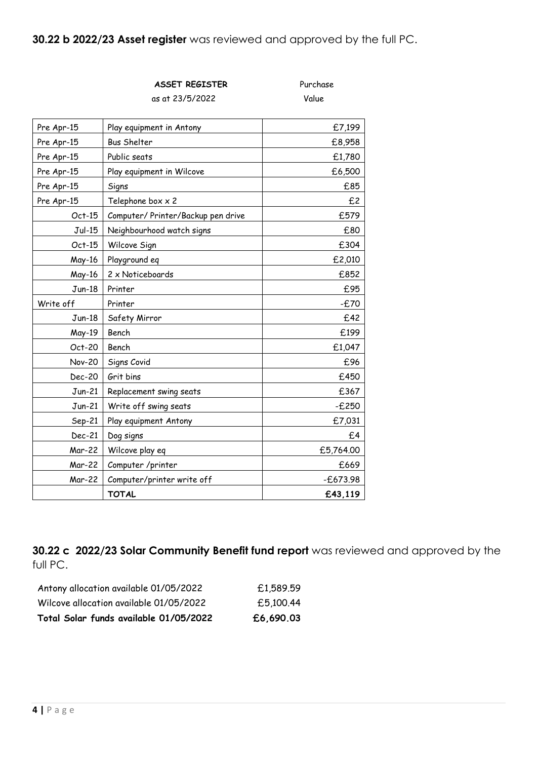**30.22 b 2022/23 Asset register** was reviewed and approved by the full PC.

**ASSET REGISTER** Purchase

|               | as at 23/5/2022                    | Value      |
|---------------|------------------------------------|------------|
| Pre Apr-15    | Play equipment in Antony           | £7,199     |
| Pre Apr-15    | <b>Bus Shelter</b>                 | £8,958     |
| Pre Apr-15    | Public seats                       | £1,780     |
| Pre Apr-15    | Play equipment in Wilcove          | £6,500     |
| Pre Apr-15    | Signs                              | £85        |
| Pre Apr-15    | Telephone box x 2                  | £2         |
| $Oct-15$      | Computer/ Printer/Backup pen drive | £579       |
| $Jul-15$      | Neighbourhood watch signs          | £80        |
| $Oct-15$      | Wilcove Sign                       | £304       |
| May-16        | Playground eq                      | £2,010     |
| May-16        | 2 x Noticeboards                   | £852       |
| $Jun-18$      | Printer                            | £95        |
| Write off     | Printer                            | $-E70$     |
| $Jun-18$      | Safety Mirror                      | £42        |
| May-19        | Bench                              | £199       |
| Oct-20        | Bench                              | £1,047     |
| <b>Nov-20</b> | Signs Covid                        | £96        |
| <b>Dec-20</b> | Grit bins                          | £450       |
| $Jun-21$      | Replacement swing seats            | £367       |
| $Jun-21$      | Write off swing seats              | $-E250$    |
| Sep-21        | Play equipment Antony              | £7,031     |
| Dec-21        | Dog signs                          | £4         |
| Mar-22        | Wilcove play eq                    | £5,764.00  |
| Mar-22        | Computer /printer                  | £669       |
| <b>Mar-22</b> | Computer/printer write off         | $-£673.98$ |
|               | <b>TOTAL</b>                       | £43,119    |

**30.22 c 2022/23 Solar Community Benefit fund report** was reviewed and approved by the full PC.

| Antony allocation available 01/05/2022  | £1,589.59 |
|-----------------------------------------|-----------|
| Wilcove allocation available 01/05/2022 | £5,100.44 |
| Total Solar funds available 01/05/2022  | £6,690.03 |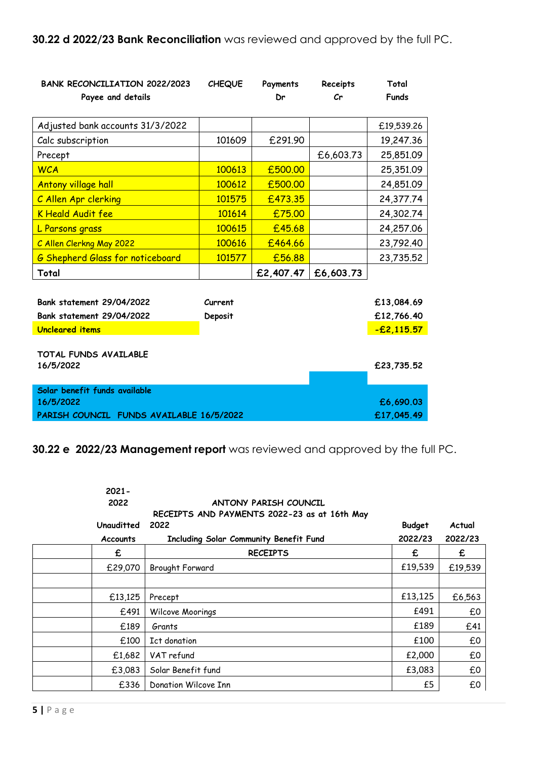| <b>BANK RECONCILIATION 2022/2023</b><br>Payee and details     | <b>CHEQUE</b>           | Payments<br>Dr | Receipts<br>$\mathcal{C}$ r | Total<br><b>Funds</b>    |
|---------------------------------------------------------------|-------------------------|----------------|-----------------------------|--------------------------|
| Adjusted bank accounts 31/3/2022                              |                         |                |                             | £19,539.26               |
| Calc subscription                                             | 101609                  | £291.90        |                             | 19,247.36                |
| Precept                                                       |                         |                | £6,603.73                   | 25,851.09                |
| <b>WCA</b>                                                    | 100613                  | £500.00        |                             | 25,351.09                |
| <b>Antony village hall</b>                                    | 100612                  | £500.00        |                             | 24,851.09                |
| C Allen Apr clerking                                          | 101575                  | £473.35        |                             | 24,377.74                |
| <b>K</b> Heald Audit fee                                      | 101614                  | £75.00         |                             | 24,302.74                |
| L Parsons grass                                               | 100615                  | £45.68         |                             | 24,257.06                |
| C Allen Clerkng May 2022                                      | 100616                  | £464.66        |                             | 23,792.40                |
| <b>G Shepherd Glass for noticeboard</b>                       | 101577                  | £56.88         |                             | 23,735.52                |
| Total                                                         |                         | £2,407.47      | £6,603.73                   |                          |
| Bank statement 29/04/2022<br><b>Bank statement 29/04/2022</b> | Current<br>Deposit      |                |                             | £13,084.69<br>£12,766.40 |
| <b>Uncleared items</b>                                        |                         |                |                             | $-E2,115.57$             |
| TOTAL FUNDS AVAILABLE<br>16/5/2022                            |                         |                |                             | £23,735.52               |
| Solar benefit funds available<br>16/5/2022                    |                         |                |                             |                          |
| PARISH COUNCIL FUNDS AVAILABLE 16/5/2022                      | £6,690.03<br>£17,045.49 |                |                             |                          |

**30.22 e 2022/23 Management report** was reviewed and approved by the full PC.

| $2021 -$<br>2022<br>Unauditted<br><b>Accounts</b> | ANTONY PARISH COUNCIL<br>RECEIPTS AND PAYMENTS 2022-23 as at 16th May<br>2022<br>Including Solar Community Benefit Fund | <b>Budget</b><br>2022/23 | Actual<br>2022/23 |
|---------------------------------------------------|-------------------------------------------------------------------------------------------------------------------------|--------------------------|-------------------|
| £                                                 | <b>RECEIPTS</b>                                                                                                         | £                        | £                 |
| £29,070                                           | Brought Forward                                                                                                         | £19,539                  | £19,539           |
|                                                   |                                                                                                                         |                          |                   |
| £13,125                                           | Precept                                                                                                                 | £13,125                  | £6,563            |
| £491                                              | Wilcove Moorings                                                                                                        | £491                     | £0                |
| £189                                              | Grants                                                                                                                  | £189                     | £41               |
| £100                                              | Ict donation                                                                                                            | £100                     | £0                |
| £1,682                                            | VAT refund                                                                                                              | £2,000                   | £0                |
| £3,083                                            | Solar Benefit fund                                                                                                      | £3,083                   | £0                |
| £336                                              | Donation Wilcove Inn                                                                                                    | £5                       | £0                |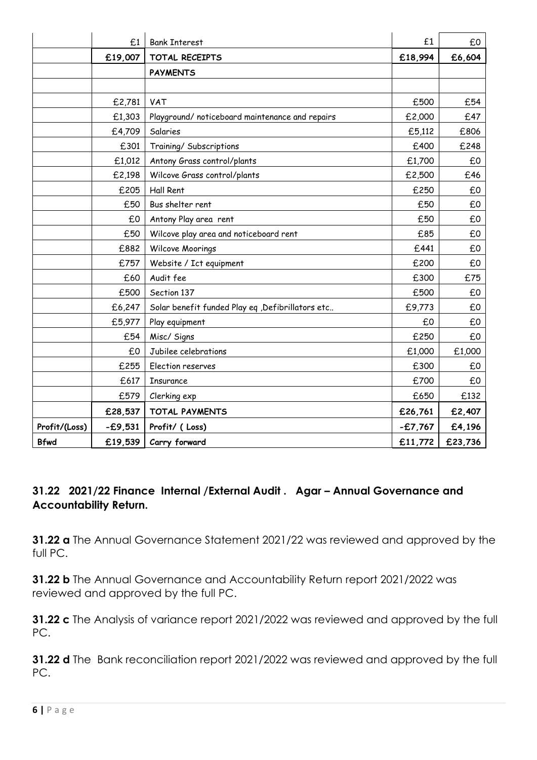|               | £1        | <b>Bank Interest</b>                              | £1        | £0      |
|---------------|-----------|---------------------------------------------------|-----------|---------|
|               | £19,007   | TOTAL RECEIPTS                                    | £18,994   | £6,604  |
|               |           | <b>PAYMENTS</b>                                   |           |         |
|               |           |                                                   |           |         |
|               | £2,781    | VAT                                               | £500      | £54     |
|               | £1,303    | Playground/ noticeboard maintenance and repairs   | £2,000    | £47     |
|               | £4,709    | Salaries                                          | £5,112    | £806    |
|               | £301      | Training/ Subscriptions                           | £400      | £248    |
|               | £1,012    | Antony Grass control/plants                       | £1,700    | £0      |
|               | £2,198    | Wilcove Grass control/plants                      | £2,500    | £46     |
|               | £205      | Hall Rent                                         | £250      | £0      |
|               | £50       | Bus shelter rent                                  | £50       | £0      |
|               | £0        | Antony Play area rent                             | £50       | £0      |
|               | £50       | Wilcove play area and noticeboard rent            | £85       | £0      |
|               | £882      | Wilcove Moorings                                  | £441      | £0      |
|               | £757      | Website / Ict equipment                           | £200      | £0      |
|               | £60       | Audit fee                                         | £300      | £75     |
|               | £500      | Section 137                                       | £500      | £0      |
|               | £6,247    | Solar benefit funded Play eq , Defibrillators etc | £9,773    | £0      |
|               | £5,977    | Play equipment                                    | £0        | £0      |
|               | £54       | Misc/ Signs                                       | £250      | £0      |
|               | £0        | Jubilee celebrations                              | £1,000    | £1,000  |
|               | £255      | Election reserves                                 | £300      | £0      |
|               | £617      | Insurance                                         | £700      | £О      |
|               | £579      | Clerking exp                                      | £650      | £132    |
|               | £28,537   | <b>TOTAL PAYMENTS</b>                             | £26,761   | £2,407  |
| Profit/(Loss) | $-£9,531$ | Profit/ (Loss)                                    | $-£7,767$ | £4,196  |
| <b>Bfwd</b>   | £19,539   | Carry forward                                     | £11,772   | £23,736 |

# **31.22 2021/22 Finance Internal /External Audit . Agar – Annual Governance and Accountability Return.**

**31.22 a** The Annual Governance Statement 2021/22 was reviewed and approved by the full PC.

**31.22 b** The Annual Governance and Accountability Return report 2021/2022 was reviewed and approved by the full PC.

**31.22 c** The Analysis of variance report 2021/2022 was reviewed and approved by the full PC.

**31.22 d** The Bank reconciliation report 2021/2022 was reviewed and approved by the full PC.